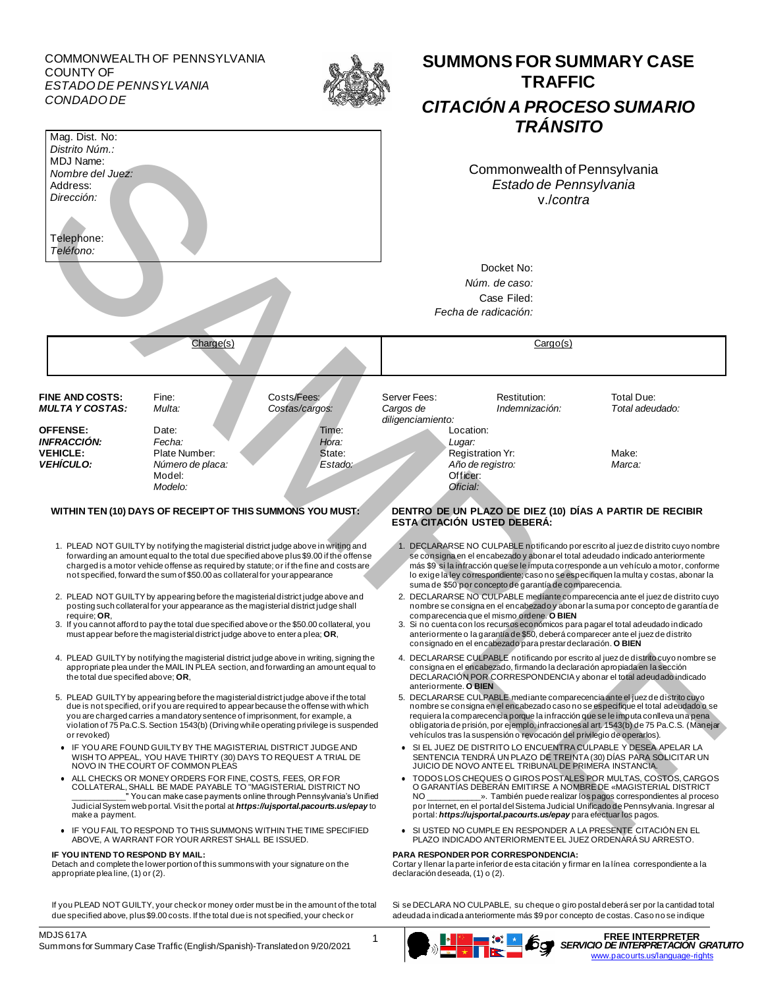COMMONWEALTH OF PENNSYLVANIA COUNTY OF *ESTADO DE PENNSYLVANIA CONDADO DE*





#### **IF YOU INTEND TO RESPOND BY MAIL: PARA RESPONDER POR CORRESPONDENCIA:**

Cortar y llenar la parte inferior de esta citación y firmar en la línea correspondiente a la declaración deseada, (1) o (2).

**SUMMONS FOR SUMMARY CASE TRAFFIC**

Si se DECLARA NO CULPABLE, su cheque o giro postal deberá ser por la cantidad total adeudada indicada anteriormente más \$9 por concepto de costas. Caso no se indique

Detach and complete the lower portion of this summons with your signature on the

MDJS 617A Summons for Summary Case Traffic (English/Spanish)-Translated on 9/20/2021

appropriate plea line, (1) or (2).